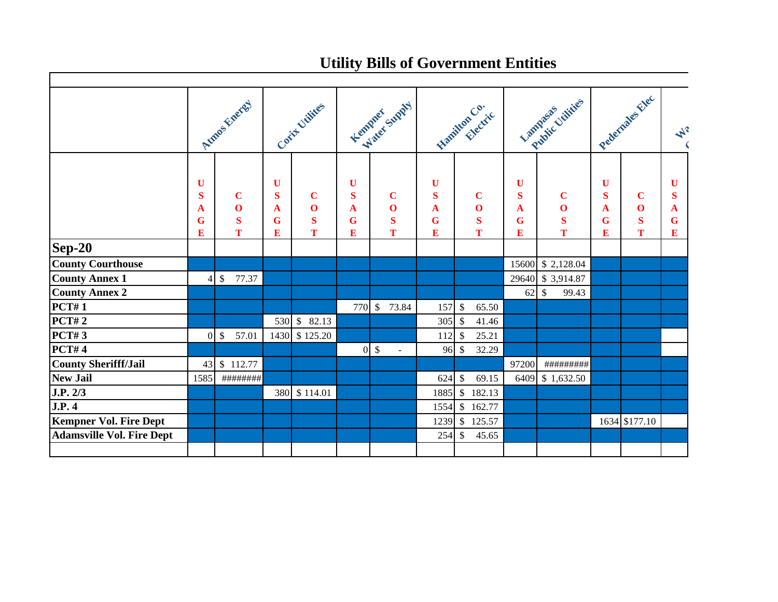## **Utility Bills of Government Entities**

|                                  | Amas Finered                |                                            | Corty Villies               |                                             | Femprer Supply                            |                                        | Remitten Co. L                            |                                            | Lambsen Cuilines                      |                                            | Pederiales Elec             |                                              | $\blacktriangle^2$    |
|----------------------------------|-----------------------------|--------------------------------------------|-----------------------------|---------------------------------------------|-------------------------------------------|----------------------------------------|-------------------------------------------|--------------------------------------------|---------------------------------------|--------------------------------------------|-----------------------------|----------------------------------------------|-----------------------|
|                                  | U<br>$\bf S$<br>A<br>G<br>E | $\mathbf C$<br>$\mathbf 0$<br>$\bf S$<br>T | U<br>$\bf S$<br>A<br>G<br>E | $\mathbf C$<br>$\mathbf{O}$<br>$\bf S$<br>T | $\mathbf U$<br>S<br>A<br>$\mathbf G$<br>E | $\bf C$<br>$\mathbf 0$<br>$\bf S$<br>T | $\mathbf U$<br>S<br>A<br>$\mathbf G$<br>E | $\mathbf C$<br>$\mathbf 0$<br>$\bf S$<br>T | U<br>$\bf S$<br>A<br>$\mathbf G$<br>E | $\mathbf C$<br>$\mathbf 0$<br>$\bf S$<br>T | U<br>$\bf S$<br>A<br>G<br>E | $\mathbf C$<br>$\mathbf{O}$<br>$\bf{S}$<br>T | U<br>S<br>A<br>G<br>E |
| $Sep-20$                         |                             |                                            |                             |                                             |                                           |                                        |                                           |                                            |                                       |                                            |                             |                                              |                       |
| <b>County Courthouse</b>         |                             |                                            |                             |                                             |                                           |                                        |                                           |                                            | 15600                                 | \$2,128.04                                 |                             |                                              |                       |
| <b>County Annex 1</b>            |                             | \$<br>77.37                                |                             |                                             |                                           |                                        |                                           |                                            | 29640                                 | \$3,914.87                                 |                             |                                              |                       |
| <b>County Annex 2</b>            |                             |                                            |                             |                                             |                                           |                                        |                                           |                                            | $62 \mid$ \$                          | 99.43                                      |                             |                                              |                       |
| <b>PCT#1</b>                     |                             |                                            |                             |                                             |                                           | 770 \$ 73.84                           | 157                                       | $\sqrt$<br>65.50                           |                                       |                                            |                             |                                              |                       |
| <b>PCT#2</b>                     |                             |                                            |                             | 530 \$ 82.13                                |                                           |                                        | 305                                       | $\mathcal{S}$<br>41.46                     |                                       |                                            |                             |                                              |                       |
| <b>PCT#3</b>                     | $\Omega$                    | $\sqrt[6]{\frac{1}{2}}$<br>57.01           |                             | 1430 \$125.20                               |                                           |                                        | 112                                       | 25.21<br>$\mathcal{S}$                     |                                       |                                            |                             |                                              |                       |
| PCT#4                            |                             |                                            |                             |                                             |                                           | $0 \text{ }$ \$                        | 96 \$                                     | 32.29                                      |                                       |                                            |                             |                                              |                       |
| <b>County Sherifff/Jail</b>      | 43                          | \$112.77                                   |                             |                                             |                                           |                                        |                                           |                                            | 97200                                 | #########                                  |                             |                                              |                       |
| <b>New Jail</b>                  | 1585                        | #########                                  |                             |                                             |                                           |                                        | 624                                       | $\mathcal{S}$<br>69.15                     |                                       | 6409 \$1,632.50                            |                             |                                              |                       |
| J.P. 2/3                         |                             |                                            |                             | 380 \$114.01                                |                                           |                                        | 1885                                      | $\$\,$<br>182.13                           |                                       |                                            |                             |                                              |                       |
| J.P.4                            |                             |                                            |                             |                                             |                                           |                                        | 1554                                      | $\cdot$ \$<br>162.77                       |                                       |                                            |                             |                                              |                       |
| <b>Kempner Vol. Fire Dept</b>    |                             |                                            |                             |                                             |                                           |                                        | 1239                                      | 125.57<br>$\sqrt$                          |                                       |                                            |                             | 1634 \$177.10                                |                       |
| <b>Adamsville Vol. Fire Dept</b> |                             |                                            |                             |                                             |                                           |                                        | 254                                       | \$<br>45.65                                |                                       |                                            |                             |                                              |                       |
|                                  |                             |                                            |                             |                                             |                                           |                                        |                                           |                                            |                                       |                                            |                             |                                              |                       |